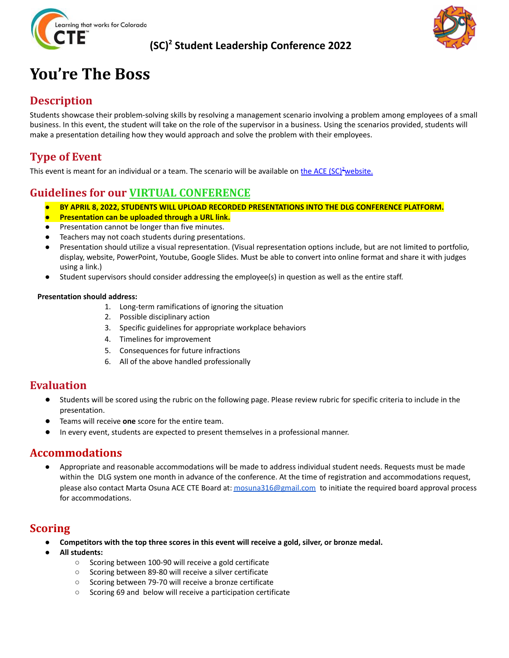

#### **(SC) <sup>2</sup> Student Leadership Conference 2022**



## **You're The Boss**

#### **Description**

Students showcase their problem-solving skills by resolving a management scenario involving a problem among employees of a small business. In this event, the student will take on the role of the supervisor in a business. Using the scenarios provided, students will make a presentation detailing how they would approach and solve the problem with their employees.

#### **Type of Event**

This event is meant for an individual or a team. The scenario will be available on the ACE (SC)<sup>2</sup>[website.](http://coloradostateplan.com/educator/ace/sc2/)

### **Guidelines for our VIRTUAL CONFERENCE**

- *●* **BY APRIL 8, 2022, STUDENTS WILL UPLOAD RECORDED PRESENTATIONS INTO THE DLG CONFERENCE PLATFORM.**
- **Presentation can be uploaded through a URL link.**
- Presentation cannot be longer than five minutes.
- Teachers may not coach students during presentations.
- Presentation should utilize a visual representation. (Visual representation options include, but are not limited to portfolio, display, website, PowerPoint, Youtube, Google Slides. Must be able to convert into online format and share it with judges using a link.)
- Student supervisors should consider addressing the employee(s) in question as well as the entire staff.

#### **Presentation should address:**

- 1. Long-term ramifications of ignoring the situation
- 2. Possible disciplinary action
- 3. Specific guidelines for appropriate workplace behaviors
- 4. Timelines for improvement
- 5. Consequences for future infractions
- 6. All of the above handled professionally

#### **Evaluation**

- Students will be scored using the rubric on the following page. Please review rubric for specific criteria to include in the presentation.
- Teams will receive **one** score for the entire team.
- In every event, students are expected to present themselves in a professional manner.

#### **Accommodations**

Appropriate and reasonable accommodations will be made to address individual student needs. Requests must be made within the DLG system one month in advance of the conference. At the time of registration and accommodations request, please also contact Marta Osuna ACE CTE Board at: [mosuna316@gmail.com](mailto:mosuna316@gmail.com) to initiate the required board approval process for accommodations.

#### **Scoring**

- Competitors with the top three scores in this event will receive a gold, silver, or bronze medal.
- **● All students:**
	- Scoring between 100-90 will receive a gold certificate
	- Scoring between 89-80 will receive a silver certificate
	- Scoring between 79-70 will receive a bronze certificate
	- Scoring 69 and below will receive a participation certificate